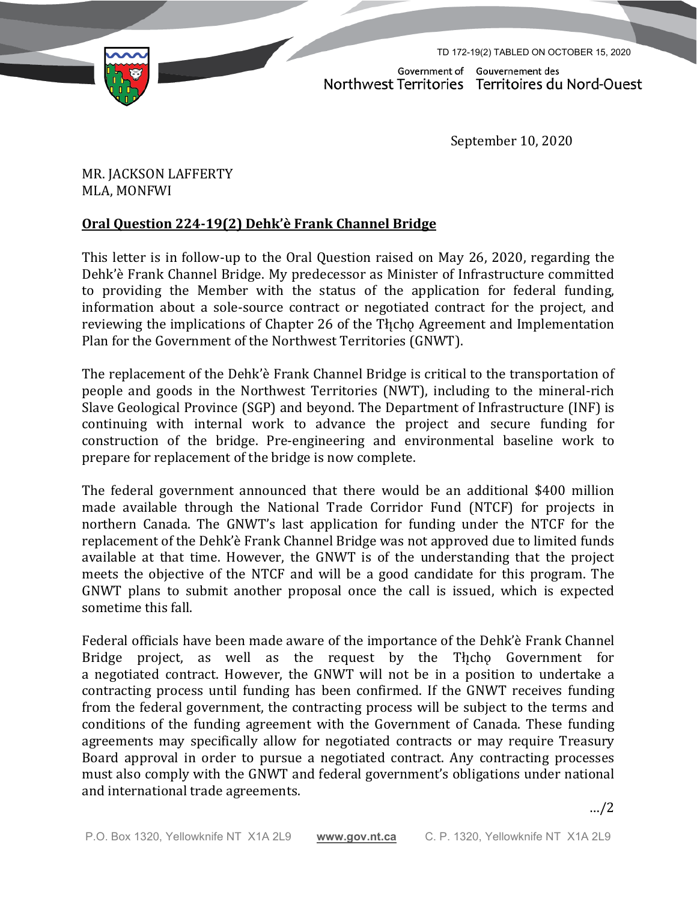

TD 172-19(2) TABLED ON OCTOBER 15, 2020

Government of Gouvernement des Northwest Territories Territoires du Nord-Ouest

September 10, 2020

MR. JACKSON LAFFERTY MLA, MONFWI

## **Oral Question 224-19(2) Dehk'è Frank Channel Bridge**

This letter is in follow-up to the Oral Question raised on May 26, 2020, regarding the Dehk'è Frank Channel Bridge. My predecessor as Minister of Infrastructure committed to providing the Member with the status of the application for federal funding, information about a sole-source contract or negotiated contract for the project, and reviewing the implications of Chapter 26 of the Tłįcho Agreement and Implementation Plan for the Government of the Northwest Territories (GNWT).

The replacement of the Dehk'è Frank Channel Bridge is critical to the transportation of people and goods in the Northwest Territories (NWT), including to the mineral-rich Slave Geological Province (SGP) and beyond. The Department of Infrastructure (INF) is continuing with internal work to advance the project and secure funding for construction of the bridge. Pre-engineering and environmental baseline work to prepare for replacement of the bridge is now complete.

The federal government announced that there would be an additional \$400 million made available through the National Trade Corridor Fund (NTCF) for projects in northern Canada. The GNWT's last application for funding under the NTCF for the replacement of the Dehk'è Frank Channel Bridge was not approved due to limited funds available at that time. However, the GNWT is of the understanding that the project meets the objective of the NTCF and will be a good candidate for this program. The GNWT plans to submit another proposal once the call is issued, which is expected sometime this fall.

Federal officials have been made aware of the importance of the Dehk'è Frank Channel Bridge project, as well as the request by the Tłicho Government for a negotiated contract. However, the GNWT will not be in a position to undertake a contracting process until funding has been confirmed. If the GNWT receives funding from the federal government, the contracting process will be subject to the terms and conditions of the funding agreement with the Government of Canada. These funding agreements may specifically allow for negotiated contracts or may require Treasury Board approval in order to pursue a negotiated contract. Any contracting processes must also comply with the GNWT and federal government's obligations under national and international trade agreements.

…/2